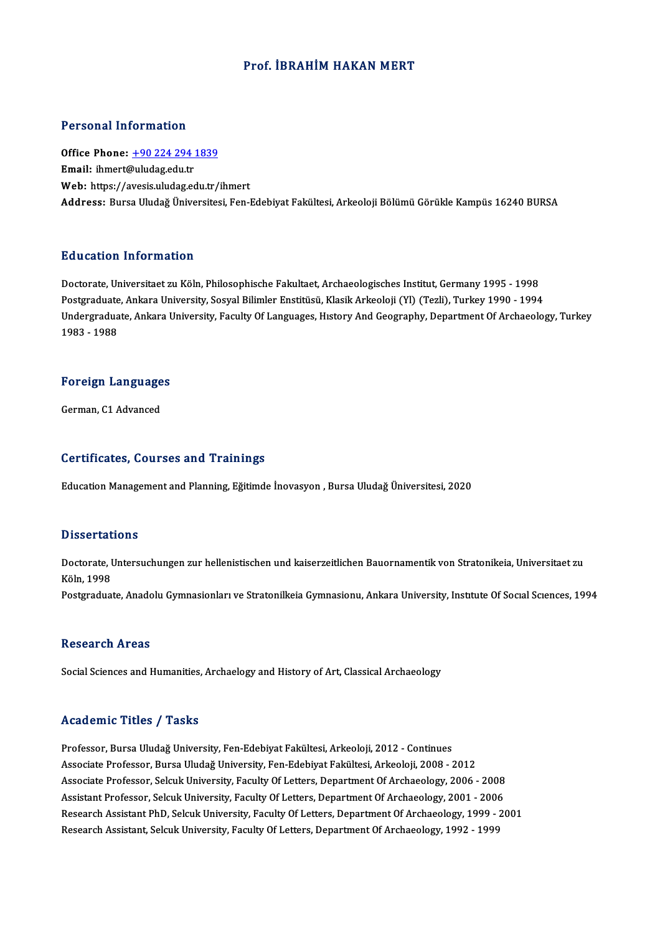### Prof. İBRAHİM HAKAN MERT

### Personal Information

Personal Information<br>Office Phone: <u>+90 224 294 1839</u><br>Email: ibmort@uludog.edu.tr Procession interests<br>Office Phone: <u>+90 224 294</u><br>Email: ihmert[@uludag.edu.tr](tel:+90 224 294 1839) Email: ihmert@uludag.edu.tr<br>Web: https://avesis.uludag.edu.tr/ihmert Address: Bursa Uludağ Üniversitesi, Fen-Edebiyat Fakültesi, Arkeoloji Bölümü Görükle Kampüs 16240 BURSA

### Education Information

Doctorate, Universitaet zu Köln, Philosophische Fakultaet, Archaeologisches Institut, Germany 1995 - 1998 Pu u cucron "mi of mucron"<br>Doctorate, Universitaet zu Köln, Philosophische Fakultaet, Archaeologisches Institut, Germany 1995 - 1998<br>Postgraduate, Ankara University, Sosyal Bilimler Enstitüsü, Klasik Arkeoloji (Yl) (Tezli) Undergraduate, Ankara University, Faculty Of Languages, Hıstory And Geography, Department Of Archaeology, Turkey<br>1983 - 1988 Postgraduate<br>Undergradua<br>1983 - 1988

# 1983 - 1988<br>Foreign Languages <mark>Foreign Language</mark><br>German, C1 Advanced

# German, C1 Advanced<br>Certificates, Courses and Trainings

Education Management and Planning, Eğitimde İnovasyon, Bursa Uludağ Üniversitesi, 2020

### **Dissertations**

Dissertations<br>Doctorate, Untersuchungen zur hellenistischen und kaiserzeitlichen Bauornamentik von Stratonikeia, Universitaet zu<br>Käln 1999 Basser tax<br>Doctorate, I<br>Köln, 1998<br>Postaredus: Doctorate, Untersuchungen zur hellenistischen und kaiserzeitlichen Bauornamentik von Stratonikeia, Universitaet zu<br>Köln, 1998<br>Postgraduate, Anadolu Gymnasionları ve Stratonilkeia Gymnasionu, Ankara University, Institute Of

Postgraduate, Anadolu Gymnasionları ve Stratonilkeia Gymnasionu, Ankara University, Institute Of Social Sciences, 1994<br>Research Areas

Social Sciences and Humanities, Archaelogy and History of Art, Classical Archaeology

### Academic Titles / Tasks

Academic Titles / Tasks<br>Professor, Bursa Uludağ University, Fen-Edebiyat Fakültesi, Arkeoloji, 2012 - Continues<br>Assesiste Brefessor, Bursa Uludağ University, Fen Edebiyat Fakültesi, Arkeoloji, 2008, 2 Associate Articus 7 Austria<br>Professor, Bursa Uludağ University, Fen-Edebiyat Fakültesi, Arkeoloji, 2012 - Continues<br>Associate Professor, Bursa Uludağ University, Fen-Edebiyat Fakültesi, Arkeoloji, 2008 - 2012<br>Associate Pro Associate Professor, Bursa Uludağ University, Fen-Edebiyat Fakültesi, Arkeoloji, 2008 - 2012<br>Associate Professor, Selcuk University, Faculty Of Letters, Department Of Archaeology, 2006 - 2008 Assistant Professor, Selcuk University, Faculty Of Letters, Department Of Archaeology, 2001 - 2006 Research Assistant PhD, Selcuk University, Faculty Of Letters, Department Of Archaeology, 1999 - 2001 Research Assistant, Selcuk University, Faculty Of Letters, Department Of Archaeology, 1992 - 1999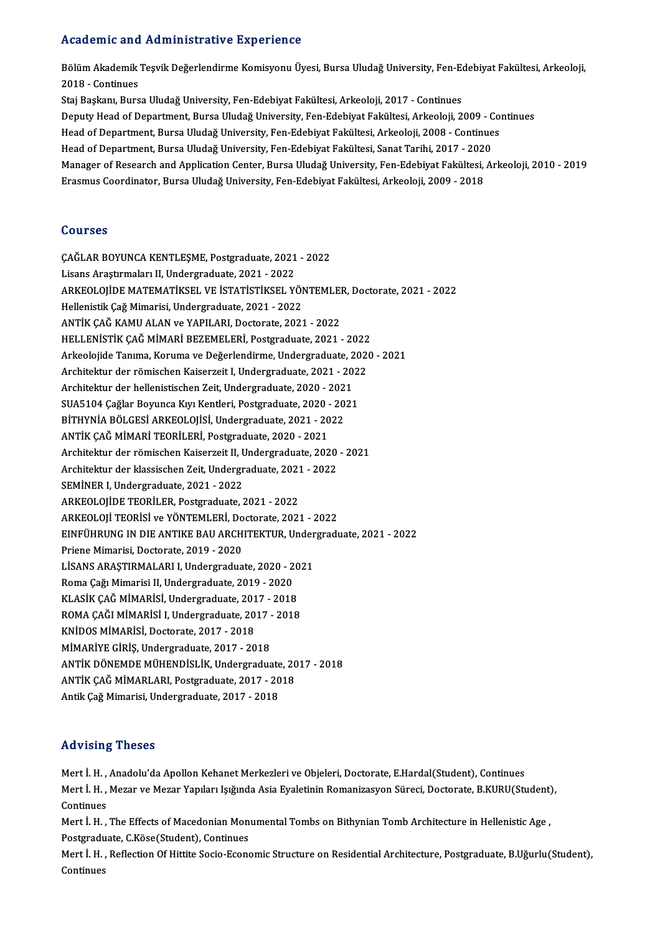### Academic and Administrative Experience

Academic and Administrative Experience<br>Bölüm Akademik Teşvik Değerlendirme Komisyonu Üyesi, Bursa Uludağ University, Fen-Edebiyat Fakültesi, Arkeoloji,<br>2018. Gentinues 1920<br>1930 - Bölüm Akademik<br>2018 - Continues<br>Stei Boskanı, Burg 2018 - Continues<br>Staj Başkanı, Bursa Uludağ University, Fen-Edebiyat Fakültesi, Arkeoloji, 2017 - Continues 2018 - Continues<br>Staj Başkanı, Bursa Uludağ University, Fen-Edebiyat Fakültesi, Arkeoloji, 2017 - Continues<br>Deputy Head of Department, Bursa Uludağ University, Fen-Edebiyat Fakültesi, Arkeoloji, 2009 - Continues<br>Head of De Staj Başkanı, Bursa Uludağ University, Fen-Edebiyat Fakültesi, Arkeoloji, 2017 - Continues<br>Deputy Head of Department, Bursa Uludağ University, Fen-Edebiyat Fakültesi, Arkeoloji, 2009 - Co<br>Head of Department, Bursa Uludağ U Deputy Head of Department, Bursa Uludağ University, Fen-Edebiyat Fakültesi, Arkeoloji, 2009 - C<br>Head of Department, Bursa Uludağ University, Fen-Edebiyat Fakültesi, Arkeoloji, 2008 - Continue<br>Head of Department, Bursa Ulud Head of Department, Bursa Uludağ University, Fen-Edebiyat Fakültesi, Arkeoloji, 2008 - Continues<br>Head of Department, Bursa Uludağ University, Fen-Edebiyat Fakültesi, Sanat Tarihi, 2017 - 2020<br>Manager of Research and Applic Head of Department, Bursa Uludağ University, Fen-Edebiyat Fakültesi, Sanat Tarihi, 2017 - 2020

### Courses

ÇAĞLARBOYUNCAKENTLEŞME,Postgraduate,2021 -2022 Lisans Araştırmaları II, Undergraduate, 2021 - 2022 ÇAĞLAR BOYUNCA KENTLEŞME, Postgraduate, 2021 - 2022<br>Lisans Araştırmaları II, Undergraduate, 2021 - 2022<br>ARKEOLOJİDE MATEMATİKSEL VE İSTATİSTİKSEL YÖNTEMLER, Doctorate, 2021 - 2022<br>Hallanistik Ceğ Mimarisi, Undergraduate, 2 Lisans Araştırmaları II, Undergraduate, 2021 - 2022<br>ARKEOLOJİDE MATEMATİKSEL VE İSTATİSTİKSEL YÖI<br>Hellenistik Çağ Mimarisi, Undergraduate, 2021 - 2022<br>ANTİK GAĞ KAMU ALAN ve YABU ARL Destarate 2022 ARKEOLOJİDE MATEMATİKSEL VE İSTATİSTİKSEL YÖNTEMLEI<br>Hellenistik Çağ Mimarisi, Undergraduate, 2021 - 2022<br>ANTİK ÇAĞ KAMU ALAN ve YAPILARI, Doctorate, 2021 - 2022<br>HELLENİSTİK ÇAĞ MİMARİ REZEMELERİ, Bostaraduate, 2021 Hellenistik Çağ Mimarisi, Undergraduate, 2021 - 2022<br>ANTİK ÇAĞ KAMU ALAN ve YAPILARI, Doctorate, 2021 - 2022<br>HELLENİSTİK ÇAĞ MİMARİ BEZEMELERİ, Postgraduate, 2021 - 2022 Arkeolojide Tanıma, Koruma ve Değerlendirme, Undergraduate, 2020 - 2021 HELLENİSTİK ÇAĞ MİMARİ BEZEMELERİ, Postgraduate, 2021 - 2022<br>Arkeolojide Tanıma, Koruma ve Değerlendirme, Undergraduate, 2021<br>Architektur der römischen Kaiserzeit I, Undergraduate, 2021 - 2022<br>Architektur der bellenistisch Arkeolojide Tanıma, Koruma ve Değerlendirme, Undergraduate, 2<br>Architektur der römischen Kaiserzeit I, Undergraduate, 2021 - 20<br>Architektur der hellenistischen Zeit, Undergraduate, 2020 - 2021<br>SUA5104 Cağlar Bouunge Kun Kon Architektur der römischen Kaiserzeit I, Undergraduate, 2021 - 202<br>Architektur der hellenistischen Zeit, Undergraduate, 2020 - 2021<br>SUA5104 Çağlar Boyunca Kıyı Kentleri, Postgraduate, 2020 - 2021<br>Pituvnia Pöl CESLARKEQLOUSL Architektur der hellenistischen Zeit, Undergraduate, 2020 - 2021<br>SUA5104 Çağlar Boyunca Kıyı Kentleri, Postgraduate, 2020 - 2021<br>BİTHYNİA BÖLGESİ ARKEOLOJİSİ, Undergraduate, 2021 - 2022<br>ANTİK ÇAĞ MİMARİ TEORİLERİ, Postgrad BİTHYNİA BÖLGESİ ARKEOLOJİSİ, Undergraduate, 2021 - 2022 BİTHYNİA BÖLGESİ ARKEOLOJİSİ, Undergraduate, 2021 - 2022<br>ANTİK ÇAĞ MİMARİ TEORİLERİ, Postgraduate, 2020 - 2021<br>Architektur der römischen Kaiserzeit II, Undergraduate, 2020 - 2021<br>Architektur der klassissken Zeit Undergradu ANTİK ÇAĞ MİMARİ TEORİLERİ, Postgraduate, 2020 - 2021<br>Architektur der römischen Kaiserzeit II, Undergraduate, 2020<br>Architektur der klassischen Zeit, Undergraduate, 2021 - 2022<br>SEMİNER LUndergraduate, 2021, 2022 Architektur der römischen Kaiserzeit II, <mark>U)</mark><br>Architektur der klassischen Zeit, Undergr<br>SEMİNER I, Undergraduate, 2021 - 2022<br>ARKEQLOUDE TEORULER, Rostgraduate Architektur der klassischen Zeit, Undergraduate, 2021 - 2022<br>SEMİNER I, Undergraduate, 2021 - 2022<br>ARKEOLOJİDE TEORİLER, Postgraduate, 2021 - 2022 SEMİNER I, Undergraduate, 2021 - 2022<br>ARKEOLOJİDE TEORİLER, Postgraduate, 2021 - 2022<br>ARKEOLOJİ TEORİSİ ve YÖNTEMLERİ, Doctorate, 2021 - 2022<br>ENEÜHRUNG IN DIE ANTIKE BAJLARCHITEKTUR Undergradı ARKEOLOJİDE TEORİLER, Postgraduate, 2021 - 2022<br>ARKEOLOJİ TEORİSİ ve YÖNTEMLERİ, Doctorate, 2021 - 2022<br>EINFÜHRUNG IN DIE ANTIKE BAU ARCHITEKTUR, Undergraduate, 2021 - 2022<br>Priane Mimarisi, Dostarate, 2010, 2020 ARKEOLOJİ TEORİSİ ve YÖNTEMLERİ, Do<br>EINFÜHRUNG IN DIE ANTIKE BAU ARCH<br>Priene Mimarisi, Doctorate, 2019 - 2020<br>LİSANS ARASTIRMALARLL Undergradua EINFÜHRUNG IN DIE ANTIKE BAU ARCHITEKTUR, Under<br>Priene Mimarisi, Doctorate, 2019 - 2020<br>LİSANS ARAŞTIRMALARI I, Undergraduate, 2020 - 2021<br>Perre Cağı Mimarisi II, Undergraduate, 2019 - 2020 Priene Mimarisi, Doctorate, 2019 - 2020<br>LİSANS ARAŞTIRMALARI I, Undergraduate, 2020 - 2021<br>Roma Çağı Mimarisi II, Undergraduate, 2019 - 2020 LİSANS ARAŞTIRMALARI I, Undergraduate, 2020 - 20<br>Roma Çağı Mimarisi II, Undergraduate, 2019 - 2020<br>KLASİK ÇAĞ MİMARİSİ, Undergraduate, 2017 - 2018<br>ROMA ÇAĞI MİMARİSİ I Undergraduate, 2017 - 2018 Roma Çağı Mimarisi II, Undergraduate, 2019 - 2020<br>KLASİK ÇAĞ MİMARİSİ, Undergraduate, 2017 - 2018<br>ROMA ÇAĞI MİMARİSİ I, Undergraduate, 2017 - 2018<br>KNİDOS MİMARİSİ, Destersta, 2017 - 2019 KLASİK ÇAĞ MİMARİSİ, Undergraduate, 2018<br>ROMA ÇAĞI MİMARİSİ I, Undergraduate, 20<br>KNİDOS MİMARİSİ, Doctorate, 2017 - 2018<br>MİMARİYE ÇİRİS, Undergraduate, 2017 - 20 ROMA ÇAĞI MİMARİSİ I, Undergraduate, 2017 -<br>KNİDOS MİMARİSİ, Doctorate, 2017 - 2018<br>MİMARİYE GİRİŞ, Undergraduate, 2017 - 2018<br>ANTİK DÖNEMDE MÜHENDİSLİK Undergradua KNİDOS MİMARİSİ, Doctorate, 2017 - 2018<br>MİMARİYE GİRİŞ, Undergraduate, 2017 - 2018<br>ANTİK DÖNEMDE MÜHENDİSLİK, Undergraduate, 2017 - 2018<br>ANTİK GAĞ MİMARI ARI, Bostaraduate, 2017 - 2019 MİMARİYE GİRİŞ, Undergraduate, 2017 - 2018<br>ANTİK DÖNEMDE MÜHENDİSLİK, Undergraduate, 20<br>ANTİK ÇAĞ MİMARLARI, Postgraduate, 2017 - 2018<br>Antik Çeğ Mimarisi, Undergraduate, 2017 - 2018 ANTİK ÇAĞ MİMARLARI, Postgraduate, 2017 - 2018<br>Antik Çağ Mimarisi, Undergraduate, 2017 - 2018

## Advising Theses

Mert İ.H., Anadolu'da Apollon Kehanet Merkezleri ve Objeleri, Doctorate, E.Hardal(Student), Continues rta v foriş Y ricoco<br>Mert İ. H. , Anadolu'da Apollon Kehanet Merkezleri ve Objeleri, Doctorate, E.Hardal(Student), Continues<br>Mert İ. H. , Mezar ve Mezar Yapıları Işığında Asia Eyaletinin Romanizasyon Süreci, Doctorate, B.K Mert İ. H. ,<br>Mert İ. H. ,<br>Continues<br>Mert İ. H Mert İ. H. , Mezar ve Mezar Yapıları Işığında Asia Eyaletinin Romanizasyon Süreci, Doctorate, B.KURU(Student)<br>Continues<br>Mert İ. H. , The Effects of Macedonian Monumental Tombs on Bithynian Tomb Architecture in Hellenistic

Continues<br>Mert İ. H. , The Effects of Macedonian Monumental Tombs on Bithynian Tomb Architecture in Hellenistic Age ,<br>Postgraduate, C.Köse(Student), Continues Mert İ. H. , The Effects of Macedonian Monumental Tombs on Bithynian Tomb Architecture in Hellenistic Age ,<br>Postgraduate, C.Köse(Student), Continues<br>Mert İ. H. , Reflection Of Hittite Socio-Economic Structure on Residentia

Postgradu<br>Mert İ. H.<br>Continues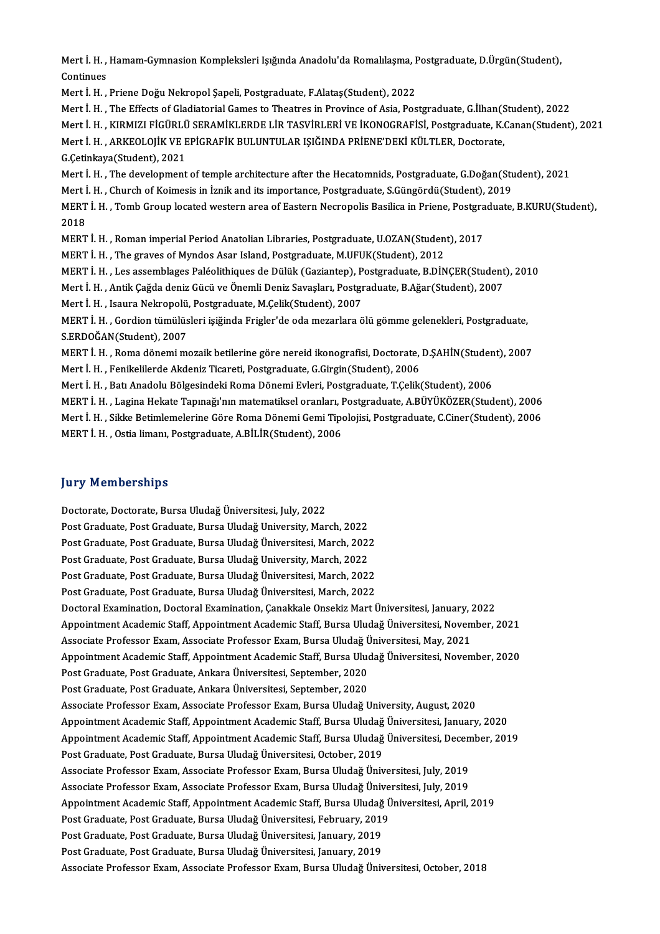Mert İ. H. , Hamam-Gymnasion Kompleksleri Işığında Anadolu'da Romalılaşma, Postgraduate, D.Ürgün(Student),<br>Continuas Mert İ. H. ,<br>Continues<br>Mert İ. H

Continues<br>Mert İ. H. , Priene Doğu Nekropol Şapeli, Postgraduate, F.Alataş(Student), 2022

Mert İ.H., The Effects of Gladiatorial Games to Theatres in Province of Asia, Postgraduate, G.İlhan(Student), 2022 Mert İ. H. , The Effects of Gladiatorial Games to Theatres in Province of Asia, Postgraduate, G.İlhan(S.)<br>Mert İ. H. , KIRMIZI FİGÜRLÜ SERAMİKLERDE LİR TASVİRLERİ VE İKONOGRAFİSİ, Postgraduate, K.<br>Mert İ. H. , ARKEOLOJİK V

Mert İ.H., KIRMIZI FİGÜRLÜ SERAMİKLERDE LİR TASVİRLERİ VE İKONOGRAFİSİ, Postgraduate, K.Canan(Student), 2021

Mert İ. H. , KIRMIZI FİGÜRLÜ<br>Mert İ. H. , ARKEOLOJİK VE E<br>G.Çetinkaya(Student), 2021<br>Mert İ. H. , The develenment

Mert İ. H. , ARKEOLOJİK VE EPİGRAFİK BULUNTULAR IŞIĞINDA PRİENE'DEKİ KÜLTLER, Doctorate,<br>G.Çetinkaya(Student), 2021<br>Mert İ. H. , The development of temple architecture after the Hecatomnids, Postgraduate, G.Doğan(Student), G.Çetinkaya(Student), 2021<br>Mert İ. H. , The development of temple architecture after the Hecatomnids, Postgraduate, G.Doğan(Student), 20<br>MERT İ. H. , Church of Koimesis in İznik and its importance, Postgraduate, S.Güngördü

Mert İ. H. , The development of temple architecture after the Hecatomnids, Postgraduate, G.Doğan(Student), 2021<br>Mert İ. H. , Church of Koimesis in İznik and its importance, Postgraduate, S.Güngördü(Student), 2019<br>MERT İ. H Mert İ<br>MERT<br>2018<br>MERT MERT İ. H. , Tomb Group located western area of Eastern Necropolis Basilica in Priene, Postgra<br>2018<br>MERT İ. H. , Roman imperial Period Anatolian Libraries, Postgraduate, U.OZAN(Student), 2017<br>MERT İ. H. , Roman imperial Pe

2018<br>MERT İ. H. , Roman imperial Period Anatolian Libraries, Postgraduate, U.OZAN(Student), 2017<br>MERT İ. H. , The graves of Myndos Asar Island, Postgraduate, M.UFUK(Student), 2012

MERT İ. H. , Roman imperial Period Anatolian Libraries, Postgraduate, U.OZAN(Student), 2017<br>MERT İ. H. , The graves of Myndos Asar Island, Postgraduate, M.UFUK(Student), 2012<br>MERT İ. H. , Les assemblages Paléolithiques de MERT İ. H. , The graves of Myndos Asar Island, Postgraduate, M.UFUK(Student), 2012<br>MERT İ. H. , Les assemblages Paléolithiques de Dülük (Gaziantep), Postgraduate, B.DİNÇER(Student<br>Mert İ. H. , Antik Çağda deniz Gücü ve Öne MERT İ. H. , Les assemblages Paléolithiques de Dülük (Gaziantep), P<br>Mert İ. H. , Antik Çağda deniz Gücü ve Önemli Deniz Savaşları, Postgr<br>Mert İ. H. , Isaura Nekropolü, Postgraduate, M.Çelik(Student), 2007<br>MERT İ. H. , Cor

Mert İ. H., Isaura Nekropolü, Postgraduate, M.Çelik(Student), 2007

Mert İ. H. , Antik Çağda deniz Gücü ve Önemli Deniz Savaşları, Postgraduate, B.Ağar(Student), 2007<br>Mert İ. H. , Isaura Nekropolü, Postgraduate, M.Çelik(Student), 2007<br>MERT İ. H. , Gordion tümülüsleri işiğinda Frigler'de od MERT İ. H. , Gordion tümülüsleri işiğinda Frigler'de oda mezarlara ölü gömme gelenekleri, Postgraduate,<br>S.ERDOĞAN(Student), 2007<br>MERT İ. H. , Roma dönemi mozaik betilerine göre nereid ikonografisi, Doctorate, D.ŞAHİN(Stude

S.ERDOĞAN(Student), 2007<br>MERT İ. H. , Roma dönemi mozaik betilerine göre nereid ikonografisi, Doctorate,<br>Mert İ. H. , Fenikelilerde Akdeniz Ticareti, Postgraduate, G.Girgin(Student), 2006<br>Mert İ. H. , Pett Anadelu Bölgesin MERT İ. H. , Roma dönemi mozaik betilerine göre nereid ikonografisi, Doctorate, D.ŞAHİN(Studen<br>Mert İ. H. , Fenikelilerde Akdeniz Ticareti, Postgraduate, G.Girgin(Student), 2006<br>Mert İ. H. , Batı Anadolu Bölgesindeki Roma

Mert İ. H. , Fenikelilerde Akdeniz Ticareti, Postgraduate, G.Girgin(Student), 2006<br>Mert İ. H. , Batı Anadolu Bölgesindeki Roma Dönemi Evleri, Postgraduate, T.Çelik(Student), 2006<br>MERT İ. H. , Lagina Hekate Tapınağı'nın mat

Mert İ. H. , Batı Anadolu Bölgesindeki Roma Dönemi Evleri, Postgraduate, T.Çelik(Student), 2006<br>MERT İ. H. , Lagina Hekate Tapınağı'nın matematiksel oranları, Postgraduate, A.BÜYÜKÖZER(Student), 2006<br>MERT İ. H. , Sikke Bet MERT İ. H. , Lagina Hekate Tapınağı'nın matematiksel oranları, I<br>Mert İ. H. , Sikke Betimlemelerine Göre Roma Dönemi Gemi Tipo<br>MERT İ. H. , Ostia limanı, Postgraduate, A.BİLİR(Student), 2006

MERT İ. H. , Ostia limanı, Postgraduate, A.BİLİR(Student), 2006<br>Jury Memberships

Doctorate, Doctorate, Bursa Uludağ Üniversitesi, July, 2022 pary Fromborompo<br>Doctorate, Doctorate, Bursa Uludağ Üniversitesi, July, 2022<br>Post Graduate, Post Graduate, Bursa Uludağ University, March, 2022<br>Post Graduate, Post Graduate, Bursa Uludağ Üniversitesi, March, 2022 Doctorate, Doctorate, Bursa Uludağ Üniversitesi, July, 2022<br>Post Graduate, Post Graduate, Bursa Uludağ University, March, 2022<br>Post Graduate, Post Graduate, Bursa Uludağ Üniversitesi, March, 2022<br>Post Craduate, Post Cradua Post Graduate, Post Graduate, Bursa Uludağ University, March, 2022<br>Post Graduate, Post Graduate, Bursa Uludağ Üniversitesi, March, 2022<br>Post Graduate, Post Graduate, Bursa Uludağ University, March, 2022<br>Post Graduate, Post Post Graduate, Post Graduate, Bursa Uludağ Üniversitesi, March, 2022<br>Post Graduate, Post Graduate, Bursa Uludağ University, March, 2022<br>Post Graduate, Post Graduate, Bursa Uludağ Üniversitesi, March, 2022 Post Graduate, Post Graduate, Bursa Uludağ Üniversitesi, March, 2022 Post Graduate, Post Graduate, Bursa Uludağ Üniversitesi, March, 2022<br>Post Graduate, Post Graduate, Bursa Uludağ Üniversitesi, March, 2022<br>Doctoral Examination, Doctoral Examination, Çanakkale Onsekiz Mart Üniversitesi, Jan Post Graduate, Post Graduate, Bursa Uludağ Üniversitesi, March, 2022<br>Doctoral Examination, Doctoral Examination, Çanakkale Onsekiz Mart Üniversitesi, January, 2022<br>Appointment Academic Staff, Appointment Academic Staff, Bu Doctoral Examination, Doctoral Examination, Çanakkale Onsekiz Mart Üniversitesi, January, 2<br>Appointment Academic Staff, Appointment Academic Staff, Bursa Uludağ Üniversitesi, Novem<br>Associate Professor Exam, Associate Profe Appointment Academic Staff, Appointment Academic Staff, Bursa Uludağ Üniversitesi, November, 2021<br>Associate Professor Exam, Associate Professor Exam, Bursa Uludağ Üniversitesi, May, 2021<br>Appointment Academic Staff, Appoint Associate Professor Exam, Associate Professor Exam, Bursa Uludağ Ü<br>Appointment Academic Staff, Appointment Academic Staff, Bursa Ulud<br>Post Graduate, Post Graduate, Ankara Üniversitesi, September, 2020<br>Post Craduate, Post C Appointment Academic Staff, Appointment Academic Staff, Bursa Ulud<br>Post Graduate, Post Graduate, Ankara Üniversitesi, September, 2020<br>Post Graduate, Post Graduate, Ankara Üniversitesi, September, 2020<br>Assesiste Brafessor F Post Graduate, Post Graduate, Ankara Üniversitesi, September, 2020<br>Associate Professor Exam, Associate Professor Exam, Bursa Uludağ University, August, 2020 Post Graduate, Post Graduate, Ankara Üniversitesi, September, 2020<br>Associate Professor Exam, Associate Professor Exam, Bursa Uludağ University, August, 2020<br>Appointment Academic Staff, Appointment Academic Staff, Bursa Ulu Appointment Academic Staff, Appointment Academic Staff, Bursa Uludağ Üniversitesi, December, 2019<br>Post Graduate, Post Graduate, Bursa Uludağ Üniversitesi, October, 2019 Appointment Academic Staff, Appointment Academic Staff, Bursa Uludağ<br>Appointment Academic Staff, Appointment Academic Staff, Bursa Uludağ<br>Post Graduate, Post Graduate, Bursa Uludağ Üniversitesi, October, 2019<br>Asserista Bra Appointment Academic Staff, Appointment Academic Staff, Bursa Uludağ Üniversitesi, Decen<br>Post Graduate, Post Graduate, Bursa Uludağ Üniversitesi, October, 2019<br>Associate Professor Exam, Associate Professor Exam, Bursa Ulud Post Graduate, Post Graduate, Bursa Uludağ Üniversitesi, October, 2019<br>Associate Professor Exam, Associate Professor Exam, Bursa Uludağ Üniversitesi, July, 2019<br>Associate Professor Exam, Associate Professor Exam, Bursa Ulu Associate Professor Exam, Associate Professor Exam, Bursa Uludağ Üniversitesi, July, 2019<br>Associate Professor Exam, Associate Professor Exam, Bursa Uludağ Üniversitesi, July, 2019<br>Appointment Academic Staff, Appointment Ac Associate Professor Exam, Associate Professor Exam, Bursa Uludağ Üniversitesi, July, 2019<br>Appointment Academic Staff, Appointment Academic Staff, Bursa Uludağ Üniversitesi, April, 2019<br>Post Graduate, Post Graduate, Bursa U Appointment Academic Staff, Appointment Academic Staff, Bursa Uludağ<br>Post Graduate, Post Graduate, Bursa Uludağ Üniversitesi, February, 2019<br>Post Graduate, Post Graduate, Bursa Uludağ Üniversitesi, January, 2019<br>Post Gradu Post Graduate, Post Graduate, Bursa Uludağ Üniversitesi, February, 2019<br>Post Graduate, Post Graduate, Bursa Uludağ Üniversitesi, January, 2019<br>Post Graduate, Post Graduate, Bursa Uludağ Üniversitesi, January, 2019<br>Assesist Post Graduate, Post Graduate, Bursa Uludağ Üniversitesi, January, 2019<br>Associate Professor Exam, Associate Professor Exam, Bursa Uludağ Üniversitesi, October, 2018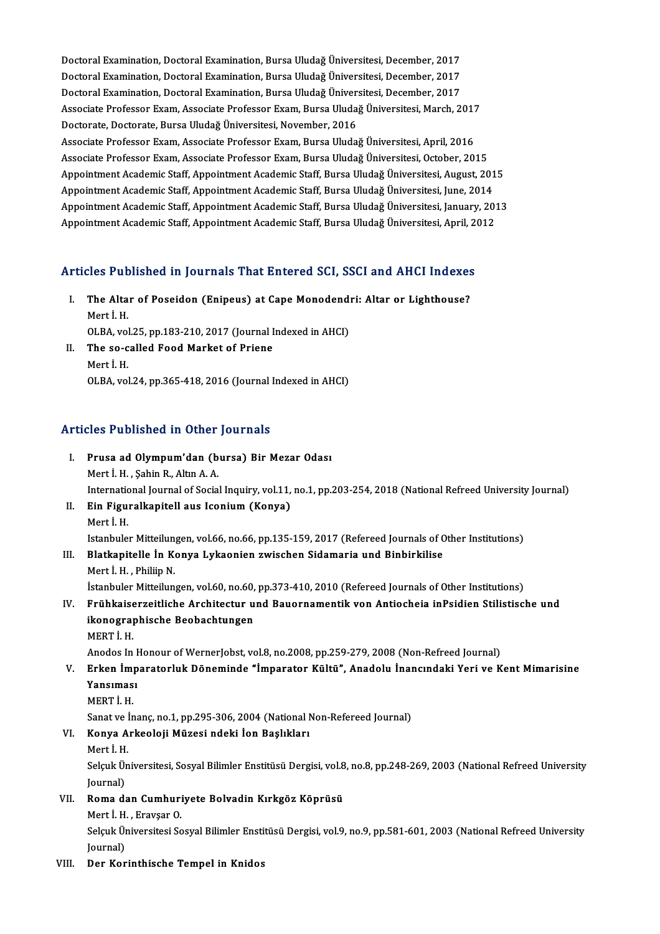Doctoral Examination, Doctoral Examination, Bursa Uludağ Üniversitesi, December, 2017<br>Doctoral Examination, Doctoral Examination, Bursa Uludağ Üniversitesi, December, 2017 Doctoral Examination, Doctoral Examination, Bursa Uludağ Üniversitesi, December, 2017<br>Doctoral Examination, Doctoral Examination, Bursa Uludağ Üniversitesi, December, 2017<br>Doctoral Examination, Doctoral Examination, Bursa Doctoral Examination, Doctoral Examination, Bursa Uludağ Üniversitesi, December, 2017<br>Doctoral Examination, Doctoral Examination, Bursa Uludağ Üniversitesi, December, 2017<br>Doctoral Examination, Doctoral Examination, Bursa Doctoral Examination, Doctoral Examination, Bursa Uludağ Üniversitesi, December, 2017<br>Doctoral Examination, Doctoral Examination, Bursa Uludağ Üniversitesi, December, 2017<br>Associate Professor Exam, Associate Professor Exam Doctoral Examination, Doctoral Examination, Bursa Uludağ Üniversitesi, December, 2017<br>Associate Professor Exam, Associate Professor Exam, Bursa Uludağ Üniversitesi, March, 201<br>Doctorate, Doctorate, Bursa Uludağ Üniversites Associate Professor Exam, Associate Professor Exam, Bursa Uludağ Üniversitesi, March, 2017<br>Doctorate, Doctorate, Bursa Uludağ Üniversitesi, November, 2016<br>Associate Professor Exam, Associate Professor Exam, Bursa Uludağ Ün Doctorate, Doctorate, Bursa Uludağ Üniversitesi, November, 2016<br>Associate Professor Exam, Associate Professor Exam, Bursa Uludağ Üniversitesi, April, 2016<br>Associate Professor Exam, Associate Professor Exam, Bursa Uludağ Ün Associate Professor Exam, Associate Professor Exam, Bursa Uludağ Üniversitesi, April, 2016<br>Associate Professor Exam, Associate Professor Exam, Bursa Uludağ Üniversitesi, October, 2015<br>Appointment Academic Staff, Appointmen Associate Professor Exam, Associate Professor Exam, Bursa Uludağ Üniversitesi, October, 2015<br>Appointment Academic Staff, Appointment Academic Staff, Bursa Uludağ Üniversitesi, August, 201<br>Appointment Academic Staff, Appoin Appointment Academic Staff, Appointment Academic Staff, Bursa Uludağ Üniversitesi, August, 2015<br>Appointment Academic Staff, Appointment Academic Staff, Bursa Uludağ Üniversitesi, June, 2014<br>Appointment Academic Staff, Appo Appointment Academic Staff, Appointment Academic Staff, Bursa Uludağ Üniversitesi, June, 2014<br>Appointment Academic Staff, Appointment Academic Staff, Bursa Uludağ Üniversitesi, January, 201<br>Appointment Academic Staff, Appo

# Appointment Academic Starl, Appointment Academic Starl, Bursa Uludag Universitesi, April, 20<br>Articles Published in Journals That Entered SCI, SSCI and AHCI Indexes

- rticles Published in Journals That Entered SCI, SSCI and AHCI Indexes<br>I. The Altar of Poseidon (Enipeus) at Cape Monodendri: Altar or Lighthouse?<br>Mort Ly I. The Altar of Poseidon (Enipeus) at Cape Monodendri: Altar or Lighthouse?<br>Mert İ.H. The Altar of Poseidon (Enipeus) at Cape Monodend:<br>Mert İ. H.<br>OLBA, vol.25, pp.183-210, 2017 (Journal Indexed in AHCI)<br>The se selled Eeed Market of Priene Mert İ. H.<br>OLBA, vol.25, pp.183-210, 2017 (Journal I<br>II. The so-called Food Market of Priene<br>Mert i H
- OLBA, vol<br>The so-c<br>Mert İ. H.<br>OLBA vol The so-called Food Market of Priene<br>Mert İ. H.<br>OLBA, vol.24, pp.365-418, 2016 (Journal Indexed in AHCI)

### Articles Published in Other Journals

- I. Prusa ad Olympum'dan (bursa) Bir Mezar Odası Mert İ.H. ,ŞahinR.,AltınA.A. International Journal of Social Inquiry, vol.11, no.1, pp.203-254, 2018 (National Refreed University Journal) Mert İ. H. , Şahin R., Altın A. A.<br>International Journal of Social Inquiry, vol.11,<br>II. Ein Figuralkapitell aus Iconium (Konya)<br>Mert i H
- Internatic<br>**Ein Figu**<br>Mert İ. H.<br>Jetanbula Ein Figuralkapitell aus Iconium (Konya)<br>Mert İ. H.<br>Istanbuler Mitteilungen, vol.66, no.66, pp.135-159, 2017 (Refereed Journals of Other Institutions)<br>Platkapitelle İn Konya Lykeonien gwiseben Sidemania und Binbirkilise Mert İ. H.<br>Istanbuler Mitteilungen, vol.66, no.66, pp.135-159, 2017 (Refereed Journals of C<br>III. Blatkapitelle İn Konya Lykaonien zwischen Sidamaria und Binbirkilise<br>Mert İ. H. Philip N

Istanbuler Mitteilun<br>Blatkapitelle İn Konstali<br>Mert İ. H. , Philiip N.<br>İstanbulen Mitteilun Blatkapitelle İn Konya Lykaonien zwischen Sidamaria und Binbirkilise<br>Mert İ. H. , Philiip N.<br>İstanbuler Mitteilungen, vol.60, no.60, pp.373-410, 2010 (Refereed Journals of Other Institutions)<br>Enühlmisesresitlishe Arshitest Mert İ. H. , Philiip N.<br>1916, İstanbuler Mitteilungen, vol.60, no.60, pp.373-410, 2010 (Refereed Journals of Other Institutions)<br>1916. – Frühkaiserzeitliche Architectur und Bauornamentik von Antiocheia inPsidien Stilistisc

- İstanbuler Mitteilungen, vol.60, no.60,<br>Frühkaiserzeitliche Architectur u<br>ikonographische Beobachtungen<br>MEPT i U ikonographische Beobachtungen<br>MERT İ.H. ikonographische Beobachtungen<br>MERT İ. H.<br>Anodos In Honour of WernerJobst, vol.8, no.2008, pp.259-279, 2008 (Non-Refreed Journal)<br>Erken İmparatarluk Döneminde "İmparatar Kültü", Anadelu İnangındaki Yeri ve K
	-

## MERT İ. H.<br>Anodos In Honour of WernerJobst, vol.8, no.2008, pp.259-279, 2008 (Non-Refreed Journal)<br>V. Erken İmparatorluk Döneminde "İmparator Kültü", Anadolu İnancındaki Yeri ve Kent Mimarisine<br>Yansıması Anodos In I<br><mark>Erken İmp</mark><br>Yansıması<br>MEPTİ H Erken İm<sub>l</sub><br>Yansımas<br>MERT İ. H.<br>Sanat*va İn* Yansıması<br>MERT İ. H.<br>Sanat ve İnanç, no.1, pp.295-306, 2004 (National Non-Refereed Journal)

# MERT İ. H.<br>Sanat ve İnanç, no.1, pp.295-306, 2004 (National I<br>VI. Konya Arkeoloji Müzesi ndeki İon Başlıkları<br>Mart i H Sanat ve İ<br>**Konya A**<br>Mert İ. H.<br>Seleyk Ün

Konya Arkeoloji Müzesi ndeki İon Başlıkları<br>Mert İ. H.<br>Selçuk Üniversitesi, Sosyal Bilimler Enstitüsü Dergisi, vol.8, no.8, pp.248-269, 2003 (National Refreed University Mert İ. H.<br>Selçuk Ül<br>Journal)<br>Poma dı Selçuk Üniversitesi, Sosyal Bilimler Enstitüsü Dergisi, vol.8<br>Journal)<br>VII. Roma dan Cumhuriyete Bolvadin Kırkgöz Köprüsü<br>Merti H. Ensyser O Journal)<br><mark>Roma dan Cumhur</mark>i<br>Mert İ.H. , Eravşar O.<br>Selsuk Üniversitesi Se

- -

Roma dan Cumhuriyete Bolvadin Kırkgöz Köprüsü<br>Mert İ. H. , Eravşar O.<br>Selçuk Üniversitesi Sosyal Bilimler Enstitüsü Dergisi, vol.9, no.9, pp.581-601, 2003 (National Refreed University<br>Iournal) Mert İ. H.<br>Selçuk Ül<br>Journal)<br>Der Ker

Journal)<br>VIII. Der Korinthische Tempel in Knidos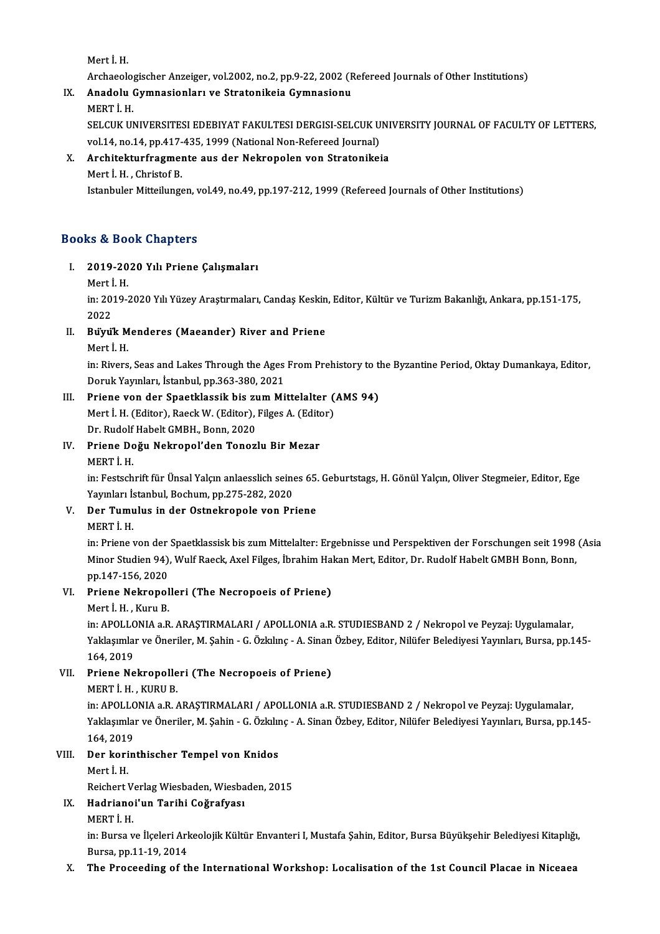Mert İ.H.

Mert İ. H.<br>Archaeologischer Anzeiger, vol.2002, no.2, pp.9-22, 2002 (Refereed Journals of Other Institutions)<br>Anadelu Gumnasionlanu ve Strateniksia Gumnasionu Mert İ. H.<br>Archaeologischer Anzeiger, vol.2002, no.2, pp.9-22, 2002 (F<br>IX. Anadolu Gymnasionları ve Stratonikeia Gymnasionu<br>MERT İ. H

# Archaeolo<sub>3</sub><br>Anadolu (<br>MERT İ. H.<br>SELCUZ UL

Anadolu Gymnasionları ve Stratonikeia Gymnasionu<br>MERT İ. H.<br>SELCUK UNIVERSITESI EDEBIYAT FAKULTESI DERGISI-SELCUK UNIVERSITY JOURNAL OF FACULTY OF LETTERS,<br>vel 14. no.14. np.417.425, 1999 (National Non Befereed Journal). MERT İ. H.<br>SELCUK UNIVERSITESI EDEBIYAT FAKULTESI DERGISI-SELCUK U<br>vol.14, no.14, pp.417-435, 1999 (National Non-Refereed Journal)<br>Architekturfragmente aus der Nekronalen von Stratenikei SELCUK UNIVERSITESI EDEBIYAT FAKULTESI DERGISI-SELCUK UNI<br>vol.14, no.14, pp.417-435, 1999 (National Non-Refereed Journal)<br>X. Architekturfragmente aus der Nekropolen von Stratonikeia<br>Mort L.H. Christof P.

# vol.14, no.14, pp.417-435, 1999 (National Non-Refereed Journal)<br>X. Architekturfragmente aus der Nekropolen von Stratonikeia<br>Mert İ.H., Christof B.

Istanbuler Mitteilungen, vol.49, no.49, pp.197-212, 1999 (Refereed Journals of Other Institutions)

## Books&Book Chapters

# ooks & Book Chapters<br>I. 2019-2020 Yılı Priene Çalışmaları<br>Mart İ.H 2019-20<br>Mert İ. H.<br>İn: <sup>2010-1</sup>

2019-2020 Yılı Priene Çalışmaları<br>Mert İ. H.<br>in: 2019-2020 Yılı Yüzey Araştırmaları, Candaş Keskin, Editor, Kültür ve Turizm Bakanlığı, Ankara, pp.151-175, Mert İ<br>in: 201<br>2022<br>Primil in: 2019-2020 Yılı Yüzey Araştırmaları, Candaş Keskin<br>2022<br>II. Büyük Menderes (Maeander) River and Priene<br>Marti H

# 2022<br>**Büyük M**<br>Mert İ. H.<br>in: Biyara

Buyuk Menderes (Maeander) River and Priene<br>Mert İ. H.<br>in: Rivers, Seas and Lakes Through the Ages From Prehistory to the Byzantine Period, Oktay Dumankaya, Editor,<br>Doruk Yaunları, İstanbul np 363,390,3021 Mert İ. H.<br>in: Rivers, Seas and Lakes Through the Ages<br>Doruk Yayınları, İstanbul, pp.363-380, 2021<br>Priene von der Speetklassik biş gum Mi in: Rivers, Seas and Lakes Through the Ages From Prehistory to the Doruk Yayınları, İstanbul, pp.363-380, 2021<br>III. Priene von der Spaetklassik bis zum Mittelalter (AMS 94)<br>Mort i H (Editor) Baeck W (Editor) Eilses A (Edit

Doruk Yayınları, İstanbul, pp.363-380, 2021<br>Priene von der Spaetklassik bis zum Mittelalter (.<br>Mert İ. H. (Editor), Raeck W. (Editor), Filges A. (Editor)<br>Pr Budelf Habelt CMBH, Benn 2020 Mert İ. H. (Editor), Raeck W. (Editor), Filges A. (Editor) Dr. Rudolf Habelt GMBH, Bonn, 2020

## IV. Priene Doğu Nekropol'den Tonozlu Bir Mezar

Priene Doğu Nekropol'den Tonozlu Bir Mezar<br>MERT İ. H.<br>in: Festschrift für Ünsal Yalçın anlaesslich seines 65. Geburtstags, H. Gönül Yalçın, Oliver Stegmeier, Editor, Ege<br>Yaunları İstanbul, Bosbum, pp.275,292,2020 MERT İ. H.<br>in: Festschrift für Ünsal Yalçın anlaesslich seine<br>Yayınları İstanbul, Bochum, pp.275-282, 2020<br>Den Tumulus in den Ostnekrenels ven Br in: Festschrift für Ünsal Yalçın anlaesslich seines 65.<br>Yayınları İstanbul, Bochum, pp.275-282, 2020<br>V. Der Tumulus in der Ostnekropole von Priene<br>MERT İ. H

# Yayınları İs<br>Der Tumu<br>MERT İ. H.<br>in: Priene 1

Der Tumulus in der Ostnekropole von Priene<br>MERT İ. H.<br>in: Priene von der Spaetklassisk bis zum Mittelalter: Ergebnisse und Perspektiven der Forschungen seit 1998 (Asia<br>Miner Studien 94), Wulf Beegk, Avel Eilses, İbrahim He MERT İ. H.<br>in: Priene von der Spaetklassisk bis zum Mittelalter: Ergebnisse und Perspektiven der Forschungen seit 1998<br>Minor Studien 94), Wulf Raeck, Axel Filges, İbrahim Hakan Mert, Editor, Dr. Rudolf Habelt GMBH Bonn, Bo in: Priene von der<br>Minor Studien 94),<br>pp.147-156, 2020<br>Priene Nekronel Minor Studien 94), Wulf Raeck, Axel Filges, İbrahim Ha<br>pp.147-156, 2020<br>VI. Priene Nekropolleri (The Necropoeis of Priene)<br>Mort L. Kum, P.

# pp.147-156, 2020<br><mark>Priene Nekropol</mark><br>Mert İ. H. , Kuru B.<br>in: APOLLONIA a P

Priene Nekropolleri (The Necropoeis of Priene)<br>Mert İ. H. , Kuru B.<br>in: APOLLONIA a.R. ARAŞTIRMALARI / APOLLONIA a.R. STUDIESBAND 2 / Nekropol ve Peyzaj: Uygulamalar,<br>Yaklasımlar ve Öneriler M. Sabin, G. Örkulma, A. Sinan Mert İ. H. , Kuru B.<br>in: APOLLONIA a.R. ARAŞTIRMALARI / APOLLONIA a.R. STUDIESBAND 2 / Nekropol ve Peyzaj: Uygulamalar,<br>Yaklaşımlar ve Öneriler, M. Şahin - G. Özkılınç - A. Sinan Özbey, Editor, Nilüfer Belediyesi Yayınları in: APOLLC<br>Yaklaşımlar<br>164, 2019<br>Priano No Yaklaşımlar ve Öneriler, M. Şahin - G. Özkılınç - A. Sinan<br>164, 2019<br>VII. Priene Nekropolleri (The Necropoeis of Priene)<br>MEPTİ H. KUPU P

# 164, 2019<br>Priene Nekropolle<br>MERT İ. H. , KURU B.<br>in: ABOLLONLA 3 B. /

Priene Nekropolleri (The Necropoeis of Priene)<br>MERT İ. H. , KURU B.<br>in: APOLLONIA a.R. ARAŞTIRMALARI / APOLLONIA a.R. STUDIESBAND 2 / Nekropol ve Peyzaj: Uygulamalar,<br>Yaklasımlar ve Öneriler M. Sabin, G. Örkulma, A. Sinan MERT İ. H. , KURU B.<br>in: APOLLONIA a.R. ARAŞTIRMALARI / APOLLONIA a.R. STUDIESBAND 2 / Nekropol ve Peyzaj: Uygulamalar,<br>Yaklaşımlar ve Öneriler, M. Şahin - G. Özkılınç - A. Sinan Özbey, Editor, Nilüfer Belediyesi Yayınları in: APOLLC<br>Yaklaşımlaı<br>164, 2019<br>Der kerin Yaklaşımlar ve Öneriler, M. Şahin - G. Özkılır<br>164, 2019<br>VIII. Der korinthischer Tempel von Knidos<br>Mert I. H

# 164, 2019<br>Der kori<br>Mert İ. H.<br>Pejsbert l Der korinthischer Tempel von Knidos<br>Mert İ. H.<br>Reichert Verlag Wiesbaden, Wiesbaden, 2015<br>Hadrianai'un Taribi Cağrafyası

# Mert İ. H.<br>Reichert Verlag Wiesbaden, Wiesba<br>IX. Hadrianoi'un Tarihi Coğrafyası<br>MERT İ. H Reichert V<br><mark>Hadriano</mark><br>MERT İ. H.<br>in: Burse v

Hadrianoi'un Tarihi Coğrafyası<br>MERT İ. H.<br>in: Bursa ve İlçeleri Arkeolojik Kültür Envanteri I, Mustafa Şahin, Editor, Bursa Büyükşehir Belediyesi Kitaplığı, MERT İ. H.<br>in: Bursa ve İlçeleri Arl<br>Bursa, pp.11-19, 2014<br>The Bresseding of ti

## Bursa, pp.11-19, 2014<br>X. The Proceeding of the International Workshop: Localisation of the 1st Council Placae in Niceaea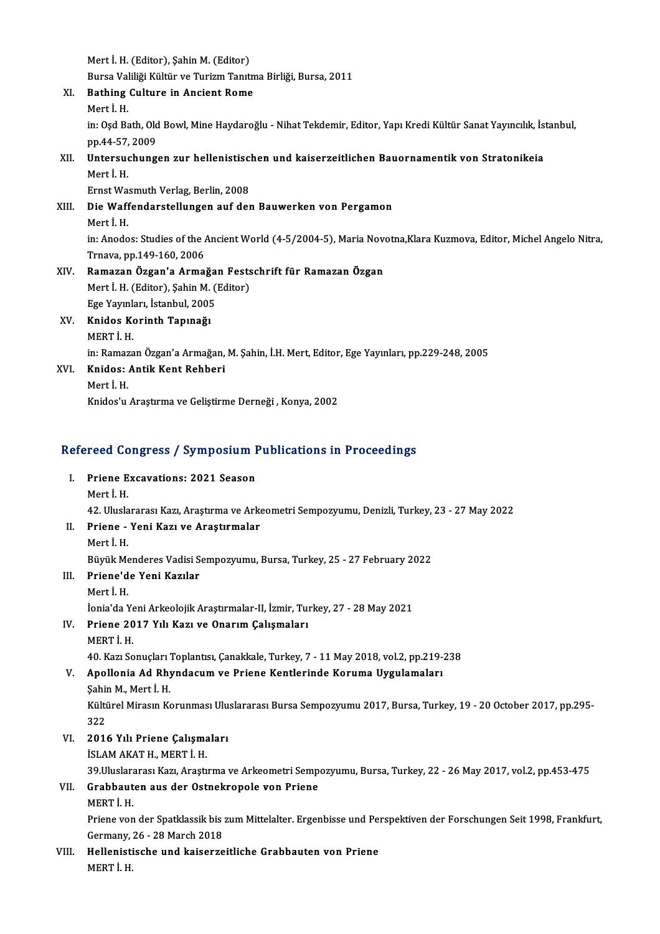Mert İ.H. (Editor), Şahin M. (Editor)

Mert İ. H. (Editor), Şahin M. (Editor)<br>Bursa Valiliği Kültür ve Turizm Tanıtma Birliği, Bursa, 2011<br>Bathing Gultune in Angiant Bome XI. Bathing Culture in Ancient Rome Bursa Val<br>**Bathing**<br>Mert İ. H.<br>in: Oad Ba Bathing Culture in Ancient Rome<br>Mert İ. H.<br>in: Oşd Bath, Old Bowl, Mine Haydaroğlu - Nihat Tekdemir, Editor, Yapı Kredi Kültür Sanat Yayıncılık, İstanbul,<br>nn 44, 57, 2009 Mert İ. H.<br>in: Oşd Bath, Old<br>pp.44-57, 2009<br>Untersushung in: Oşd Bath, Old Bowl, Mine Haydaroğlu - Nihat Tekdemir, Editor, Yapı Kredi Kültür Sanat Yayıncılık, İs<br>pp.44-57, 2009<br>XII. Untersuchungen zur hellenistischen und kaiserzeitlichen Bauornamentik von Stratonikeia<br>Merti H pp.44-57,<br><mark>Untersu</mark><br>Mert İ. H.<br>Ernst We Untersuchungen zur hellenistisc<br>Mert İ. H.<br>Ernst Wasmuth Verlag, Berlin, 2008<br>Die Waffenderstellungen auf der Mert İ. H.<br>Ernst Wasmuth Verlag, Berlin, 2008<br>XIII. Die Waffendarstellungen auf den Bauwerken von Pergamon<br>Mert I H Ernst Wa<br>Di<mark>e Waff</mark><br>Mert İ. H.<br>in: Anodo Die Waffendarstellungen auf den Bauwerken von Pergamon<br>Mert İ. H.<br>in: Anodos: Studies of the Ancient World (4-5/2004-5), Maria Novotna,Klara Kuzmova, Editor, Michel Angelo Nitra, Mert İ. H.<br>in: Anodos: Studies of the *I*<br>Trnava, pp.149-160, 2006<br>Bamaran Özgan'a Arma in: Anodos: Studies of the Ancient World (4-5/2004-5), Maria November 1991<br>Trnava, pp.149-160, 2006<br>XIV. Ramazan Özgan'a Armağan Festschrift für Ramazan Özgan<br>Mert H. (Editor), Sobin M. (Editor) Trnava, pp.149-160, 2006<br>Ramazan Özgan'a Armağan Fests<br>Mert İ. H. (Editor), Şahin M. (Editor)<br>Fes Yaunlan, İstanbul 2005 Ramazan Özgan'a Armağa<br>Mert İ. H. (Editor), Şahin M. (<br>Ege Yayınları, İstanbul, 2005<br>Knidos Koninth Tanınağı Mert İ. H. (Editor), Şahin M.<br>Ege Yayınları, İstanbul, 2005<br>XV. Knidos Korinth Tapınağı<br>MEPT İ. H Ege Yayınl<mark>:</mark><br>Knidos Ko<br>MERT İ. H.<br>in: Pomoza MERT İ. H.<br>in: Ramazan Özgan'a Armağan, M. Şahin, İ.H. Mert, Editor, Ege Yayınları, pp.229-248, 2005 MERT İ. H.<br>in: Ramazan Özgan'a Armağan,<br>XVI. Knidos: Antik Kent Rehberi<br>Mert İ. H in: Ramaz<br><mark>Knidos:</mark><br>Mert İ. H.<br>Knidos'u Mert İ. H.<br>Knidos'u Araştırma ve Geliştirme Derneği , Konya, 2002

# knidos u Araşurma ve delişurme Dernegi , konya, 2002<br>Refereed Congress / Symposium Publications in Proceedings

efereed Congress / Symposium I.<br>I. Priene Excavations: 2021 Season<br>Mort i H I. Priene Excavations: 2021 Season<br>Mert İ.H. Mert İ. H.<br>42. Uluslararası Kazı, Araştırma ve Arke<br>II. Priene - Yeni Kazı ve Araştırmalar<br>Mert İ. H

42. Uluslararası Kazı, Araştırma ve Arkeometri Sempozyumu, Denizli, Turkey, 23 - 27 May 2022

- 
- 42. Ulusla<br><mark>Priene -</mark><br>Mert İ. H.<br>Püvük Me Mert İ. H.<br>Büyük Menderes Vadisi Sempozyumu, Bursa, Turkey, 25 - 27 February 2022 Mert İ. H.<br>Büyük Menderes Vadisi S<br>III. Priene'de Yeni Kazılar<br>Mert İ. H

- 
- Büyük Me<br>**Priene'd**<br>Mert İ. H.<br>İonia'da N Mert İ. H.<br>İonia'da Yeni Arkeolojik Araştırmalar-II, İzmir, Turkey, 27 - 28 May 2021 Mert İ. H.<br>İonia'da Yeni Arkeolojik Araştırmalar-II, İzmir, Tuı<br>IV. Priene 2017 Yılı Kazı ve Onarım Çalışmaları<br>MERTİ H İonia'da Ye<br><mark>Priene 20</mark><br>MERT İ. H.<br>40 Karı So
- 

40.KazıSonuçlarıToplantısı,Çanakkale,Turkey,7 -11May2018,vol.2,pp.219-238

# MERT İ. H.<br>40. Kazı Sonuçları Toplantısı, Çanakkale, Turkey, 7 - 11 May 2018, vol.2, pp.219-.<br>50 V. Apollonia Ad Rhyndacum ve Priene Kentlerinde Koruma Uygulamaları<br>50 Sabin M. Mort İ. H 40. Kazı Sonuçları<br>Apollonia Ad Rhy<br>Şahin M., Mert İ. H.<br>Kültürel Miresın Ke

Apollonia Ad Rhyndacum ve Priene Kentlerinde Koruma Uygulamaları<br>Şahin M., Mert İ. H.<br>Kültürel Mirasın Korunması Uluslararası Bursa Sempozyumu 2017, Bursa, Turkey, 19 - 20 October 2017, pp.295-<br>222 Sahii<br>Külti<br>322<br>2014 Kültürel Mirasın Korunması Ulu<br>322<br>VI. 2016 Yılı Priene Çalışmaları<br>İSLAMAKATH MERTİ H 322<br>**2016 Yılı Priene Çalışma**<br>İSLAM AKAT H., MERT İ. H.<br>20 Uluslaranası Karı, Arastı

2016 Yılı Priene Çalışmaları<br>İSLAM AKAT H., MERT İ. H.<br>39.Uluslararası Kazı, Araştırma ve Arkeometri Sempozyumu, Bursa, Turkey, 22 - 26 May 2017, vol.2, pp.453-475<br>Crabbouten eus der Ostnelvenele ven Priene

## İSLAM AKAT H., MERT İ. H.<br>39.Uluslararası Kazı, Araştırma ve Arkeometri Semp<br>VII. Grabbauten aus der Ostnekropole von Priene<br>MERT İ. H. 39.Uluslara<br>Grabbaut<br>MERT İ. H.<br>Priene ven

Priene von der Spatklassik bis zum Mittelalter. Ergenbisse und Perspektiven der Forschungen Seit 1998, Frankfurt, MERT İ. H.<br>Priene von der Spatklassik bis :<br>Germany, 26 - 28 March 2018<br>Hellenistisske und kajserne

VIII. Hellenistische und kaiserzeitliche Grabbauten von Priene<br>MERT İ. H. Germany,<br><mark>Hellenist</mark>i<br>MERT İ. H.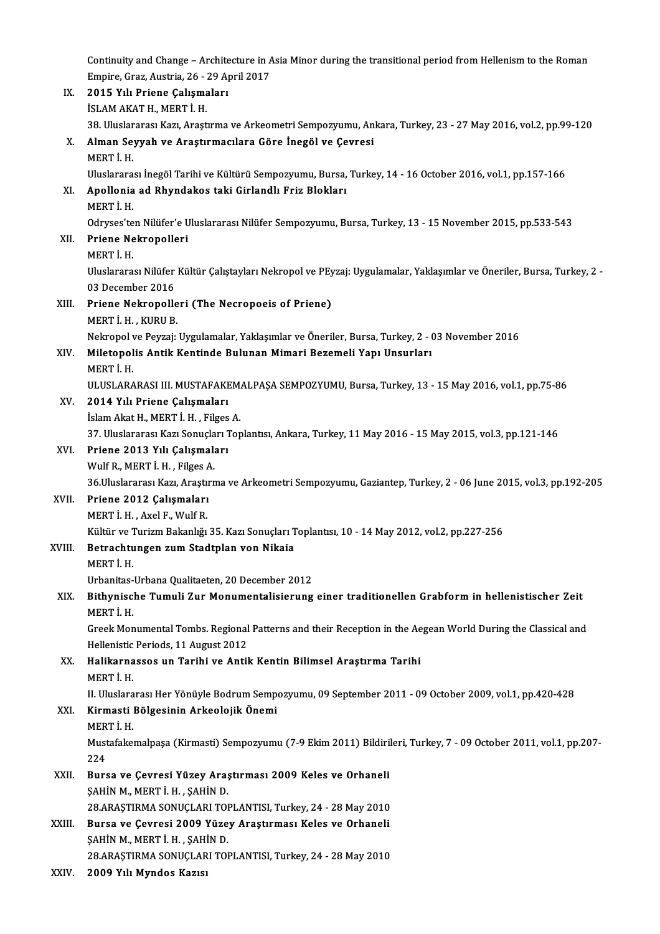Continuity and Change – Architecture in Asia Minor during the transitional period from Hellenism to the Roman<br>Emnine Greg Austrie 26, 29 Anril 2017 Continuity and Change – Architecture in A<br>Empire, Graz, Austria, 26 - 29 April 2017<br>2015 Yılı Priene Coliamaları Continuity and Change – Archite<br>Empire, Graz, Austria, 26 - 29 A<sub>l</sub><br>IX. 2015 Yılı Priene Çalışmaları<br>ISLAM AKATH MERTİ H Empire, Graz, Austria, 26 - 29 April 2017

| IX.    | 2015 Yılı Priene Çalışmaları                                                                                          |
|--------|-----------------------------------------------------------------------------------------------------------------------|
|        | İSLAM AKAT H., MERT İ. H.                                                                                             |
|        | 38. Uluslararası Kazı, Araştırma ve Arkeometri Sempozyumu, Ankara, Turkey, 23 - 27 May 2016, vol.2, pp.99-120         |
| Х.     | Alman Seyyah ve Araştırmacılara Göre İnegöl ve Çevresi                                                                |
|        | MERT İ.H.                                                                                                             |
|        | Uluslararası İnegöl Tarihi ve Kültürü Sempozyumu, Bursa, Turkey, 14 - 16 October 2016, vol.1, pp.157-166              |
| XI.    | Apollonia ad Rhyndakos taki Girlandlı Friz Blokları                                                                   |
|        | MERT İ.H.                                                                                                             |
|        | Odryses'ten Nilüfer'e Uluslararası Nilüfer Sempozyumu, Bursa, Turkey, 13 - 15 November 2015, pp.533-543               |
| XII.   | Priene Nekropolleri                                                                                                   |
|        | MERT İ.H.                                                                                                             |
|        | Uluslararası Nilüfer Kültür Çalıştayları Nekropol ve PEyzaj: Uygulamalar, Yaklaşımlar ve Öneriler, Bursa, Turkey, 2 - |
|        | 03 December 2016                                                                                                      |
| XIII.  | Priene Nekropolleri (The Necropoeis of Priene)                                                                        |
|        | MERT İ.H., KURU B.                                                                                                    |
|        | Nekropol ve Peyzaj: Uygulamalar, Yaklaşımlar ve Öneriler, Bursa, Turkey, 2 - 03 November 2016                         |
| XIV.   | Miletopolis Antik Kentinde Bulunan Mimari Bezemeli Yapı Unsurları                                                     |
|        | MERT İ.H.                                                                                                             |
|        | ULUSLARARASI III. MUSTAFAKEMALPAŞA SEMPOZYUMU, Bursa, Turkey, 13 - 15 May 2016, vol.1, pp.75-86                       |
| XV.    | 2014 Yılı Priene Çalışmaları                                                                                          |
|        | İslam Akat H., MERT İ. H., Filges A.                                                                                  |
|        | 37. Uluslararası Kazı Sonuçları Toplantısı, Ankara, Turkey, 11 May 2016 - 15 May 2015, vol.3, pp.121-146              |
| XVI.   | Priene 2013 Yılı Çalışmaları                                                                                          |
|        | Wulf R., MERT I.H., Filges A.                                                                                         |
|        | 36. Uluslararası Kazı, Araştırma ve Arkeometri Sempozyumu, Gaziantep, Turkey, 2 - 06 June 2015, vol.3, pp.192-205     |
| XVII.  | Priene 2012 Çalışmaları                                                                                               |
|        | MERT İ.H., Axel F., Wulf R.                                                                                           |
|        | Kültür ve Turizm Bakanlığı 35. Kazı Sonuçları Toplantısı, 10 - 14 May 2012, vol.2, pp.227-256                         |
| XVIII. | Betrachtungen zum Stadtplan von Nikaia                                                                                |
|        | MERT İ.H.                                                                                                             |
|        | Urbanitas Urbana Qualitaeten. 20 December 2012                                                                        |
| XIX.   | Bithynische Tumuli Zur Monumentalisierung einer traditionellen Grabform in hellenistischer Zeit                       |
|        | MERT I.H.                                                                                                             |
|        | Greek Monumental Tombs. Regional Patterns and their Reception in the Aegean World During the Classical and            |
|        | Hellenistic Periods, 11 August 2012                                                                                   |
| XX.    | Halikarnassos un Tarihi ve Antik Kentin Bilimsel Araştırma Tarihi<br>MERT I H                                         |
|        | II. Uluslararası Her Yönüyle Bodrum Sempozyumu, 09 September 2011 - 09 October 2009, vol.1, pp.420-428                |
| XXI.   | Kirmasti Bölgesinin Arkeolojik Önemi                                                                                  |
|        | MERT İ.H.                                                                                                             |
|        | Mustafakemalpaşa (Kirmasti) Sempozyumu (7-9 Ekim 2011) Bildirileri, Turkey, 7 - 09 October 2011, vol.1, pp.207-       |
|        | 224                                                                                                                   |
| XXII.  | Bursa ve Çevresi Yüzey Araştırması 2009 Keles ve Orhaneli                                                             |
|        | ŞAHİN M., MERT İ. H., ŞAHİN D.                                                                                        |
|        | 28.ARAŞTIRMA SONUÇLARI TOPLANTISI, Turkey, 24 - 28 May 2010                                                           |
| XXIII. | Bursa ve Çevresi 2009 Yüzey Araştırması Keles ve Orhaneli                                                             |
|        | ŞAHİN M., MERT İ. H., ŞAHİN D.                                                                                        |
|        | 28.ARAŞTIRMA SONUÇLARI TOPLANTISI, Turkey, 24 - 28 May 2010                                                           |
| XXIV.  | 2009 Yılı Myndos Kazısı                                                                                               |
|        |                                                                                                                       |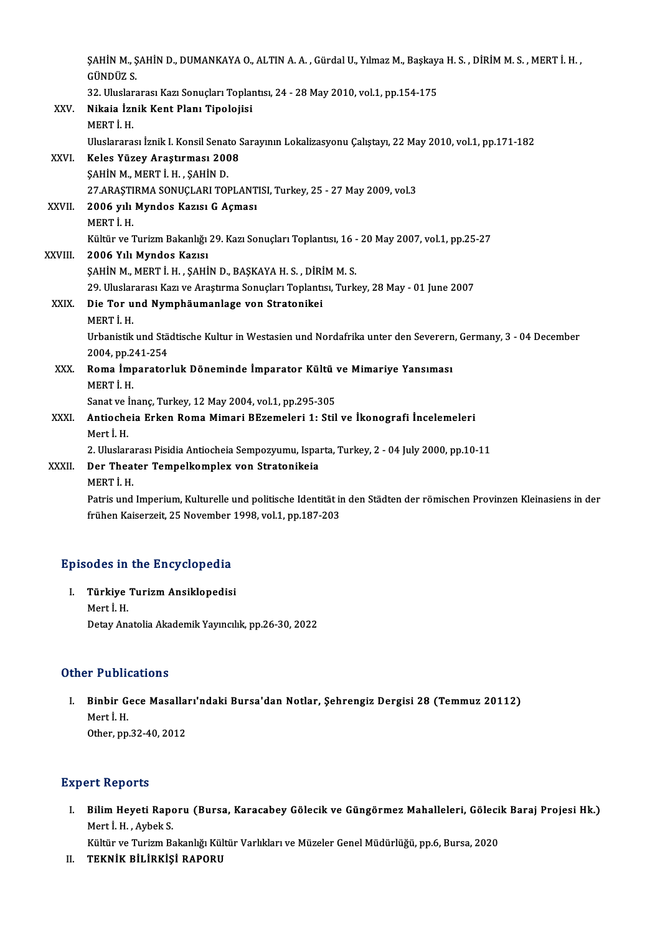|              | , ŞAHİN M., ŞAHİN D., DUMANKAYA O., ALTIN A. A. , Gürdal U., Yılmaz M., Başkaya H. S. , DİRİM M. S. , MERT İ. H<br>GÜNDÜZ S. |
|--------------|------------------------------------------------------------------------------------------------------------------------------|
|              | 32. Uluslararası Kazı Sonuçları Toplantısı, 24 - 28 May 2010, vol.1, pp.154-175                                              |
| XXV.         | Nikaia İznik Kent Planı Tipolojisi                                                                                           |
|              | MERT I H                                                                                                                     |
|              | Uluslararası İznik I. Konsil Senato Sarayının Lokalizasyonu Çalıştayı, 22 May 2010, vol.1, pp.171-182                        |
| XXVI.        | Keles Yüzey Araştırması 2008                                                                                                 |
|              | ŞAHİN M., MERT İ. H., ŞAHİN D.                                                                                               |
|              | 27 ARAŞTIRMA SONUÇLARI TOPLANTISI, Turkey, 25 - 27 May 2009, vol 3                                                           |
| XXVII.       | 2006 yılı Myndos Kazısı G Açması                                                                                             |
|              | MERT İH.                                                                                                                     |
|              | Kültür ve Turizm Bakanlığı 29. Kazı Sonuçları Toplantısı, 16 - 20 May 2007, vol.1, pp.25-27                                  |
| XXVIII.      | 2006 Yılı Myndos Kazısı                                                                                                      |
|              | ŞAHİN M., MERT İ. H., ŞAHİN D., BAŞKAYA H. S., DİRİM M. S.                                                                   |
|              | 29. Uluslararası Kazı ve Araştırma Sonuçları Toplantısı, Turkey, 28 May - 01 June 2007                                       |
| XXIX.        | Die Tor und Nymphäumanlage von Stratonikei                                                                                   |
|              | MERT I H                                                                                                                     |
|              | Urbanistik und Städtische Kultur in Westasien und Nordafrika unter den Severern, Germany, 3 - 04 December                    |
|              | 2004, pp 241-254                                                                                                             |
| XXX.         | Roma İmparatorluk Döneminde İmparator Kültü ve Mimariye Yansıması                                                            |
|              | MERT I.H.                                                                                                                    |
|              | Sanat ve İnanç, Turkey, 12 May 2004, vol.1, pp.295-305                                                                       |
| XXXI.        | Antiocheia Erken Roma Mimari BEzemeleri 1: Stil ve İkonografi İncelemeleri                                                   |
|              | Mert İ.H.                                                                                                                    |
|              | 2. Uluslararası Pisidia Antiocheia Sempozyumu, Isparta, Turkey, 2 - 04 July 2000, pp.10-11                                   |
| <b>XXXII</b> | Der Theater Tempelkomplex von Stratonikeia                                                                                   |
|              | MERT İ.H.                                                                                                                    |
|              | Patris und Imperium, Kulturelle und politische Identität in den Städten der römischen Provinzen Kleinasiens in der           |
|              | frühen Kaiserzeit, 25 November 1998, vol.1, pp.187-203                                                                       |
|              |                                                                                                                              |

# rrunen Kaiserzeit, 25 November<br>Episodes in the Encyclopedia

pisodes in the Encyclopedia<br>I. Türkiye Turizm Ansiklopedisi<br>Mart i u I. Türkiye Turizm Ansiklopedisi<br>Mert İ.H. Detay Anatolia Akademik Yayıncılık, pp.26-30, 2022

## Other Publications

ther Publications<br>I. Binbir Gece Masalları'ndaki Bursa'dan Notlar, Şehrengiz Dergisi 28 (Temmuz 20112)<br>Merti H Mert İ.H.<br>Mert İ.H.<br>Other nn Binbir Gece Masalla:<br>Mert İ. H.<br>Other, pp.32-40, 2012 0ther, pp.32-40, 2012<br>Expert Reports

xpert Reports<br>I. Bilim Heyeti Raporu (Bursa, Karacabey Gölecik ve Güngörmez Mahalleleri, Gölecik Baraj Projesi Hk.)<br>Marti H. Arbels S Mert Reports<br>Bilim Heyeti Rapo<br>Mert İ. H. , Aybek S.<br>Kültür ve Turizm Be Bilim Heyeti Raporu (Bursa, Karacabey Gölecik ve Güngörmez Mahalleleri, Göleci<br>Mert İ. H. , Aybek S.<br>Kültür ve Turizm Bakanlığı Kültür Varlıkları ve Müzeler Genel Müdürlüğü, pp.6, Bursa, 2020<br>TEKNİK BİL İRKİSİ RARORII Mert İ. H. , Aybek S.<br>Kültür ve Turizm Bakanlığı Kültür Varlıkları ve Müzeler Genel Müdürlüğü, pp.6, Bursa, 2020<br>II. TEKNİK BİLİRKİŞİ RAPORU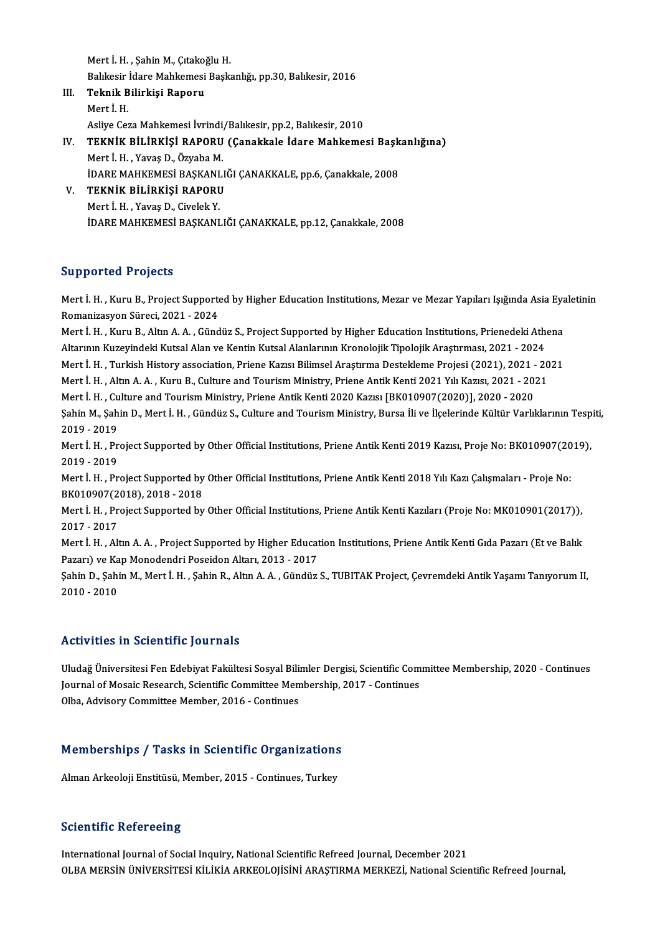Mert İ.H., Şahin M., Çıtakoğlu H. Mert İ. H. , Şahin M., Çıtakoğlu H.<br>Balıkesir İdare Mahkemesi Başkanlığı, pp.30, Balıkesir, 2016<br>Telmik Bilinkisi Banoru Mert İ. H. , Şahin M., Çıtakoğ<br>Balıkesir İdare Mahkemesi<br>III. Teknik Bilirkişi Raporu<br>Mert İ. H Balıkesir<br>Teknik B<br>Mert İ. H.<br>Aslive Ger III. Teknik Bilirkişi Raporu<br>Mert İ. H.<br>Asliye Ceza Mahkemesi İvrindi/Balıkesir, pp.2, Balıkesir, 2010 Mert İ. H.<br>Asliye Ceza Mahkemesi İvrindi/Balıkesir, pp.2, Balıkesir, 2010<br>IV. TEKNİK BİLİRKİŞİ RAPORU (Çanakkale İdare Mahkemesi Başkanlığına)<br>Mert İ. H. Yayas D. Özyaba M Asliye Ceza Mahkemesi İvrindi<sub>,</sub><br>TEKNİK BİLİRKİŞİ RAPORU<br>Mert İ. H. , Yavaş D., Özyaba M.<br>İDAPE MAHKEMESİ BASKANLI

- TEKNİK BİLİRKİŞİ RAPORU (Çanakkale İdare Mahkemesi Başk<br>Mert İ. H. , Yavaş D., Özyaba M.<br>İDARE MAHKEMESİ BAŞKANLIĞI ÇANAKKALE, pp.6, Çanakkale, 2008<br>TEKNİK BİLİRKİSI BARORIL Mert İ. H. , Yavaş D., Özyaba M.<br>İDARE MAHKEMESİ BAŞKANLI<br>V. **TEKNİK BİLİRKİŞİ RAPORU**<br>Mert İ. H. , Yavaş D., Civelek Y. İDARE MAHKEMESİ BAŞKANLIĞI ÇANAKKALE, pp.6, Çanakkale, 2008
- İDARE MAHKEMESİ BAŞKANLIĞI ÇANAKKALE, pp.12, Çanakkale, 2008

## Supported Projects

Supported Projects<br>Mert İ. H. , Kuru B., Project Supported by Higher Education Institutions, Mezar ve Mezar Yapıları Işığında Asia Eyaletinin<br>Remanizesyan Sünesi 2021, 2024 Bupporteu 110jects<br>Mert İ. H. , Kuru B., Project Supporte<br>Romanizasyon Süreci, 2021 - 2024<br>Mert İ. H., Kuru B., Altın A. A., Günd Mert İ. H. , Kuru B., Project Supported by Higher Education Institutions, Mezar ve Mezar Yapıları Işığında Asia Eya<br>Romanizasyon Süreci, 2021 - 2024<br>Mert İ. H. , Kuru B., Altın A. A. , Gündüz S., Project Supported by Highe

Romanizasyon Süreci, 2021 - 2024<br>Mert İ. H. , Kuru B., Altın A. A. , Gündüz S., Project Supported by Higher Education Institutions, Prienedeki Ath<br>Altarının Kuzeyindeki Kutsal Alan ve Kentin Kutsal Alanlarının Kronolojik T Mert İ. H. , Kuru B., Altın A. A. , Gündüz S., Project Supported by Higher Education Institutions, Prienedeki Athena<br>Altarının Kuzeyindeki Kutsal Alan ve Kentin Kutsal Alanlarının Kronolojik Tipolojik Araştırması, 2021 - 2 Altarının Kuzeyindeki Kutsal Alan ve Kentin Kutsal Alanlarının Kronolojik Tipolojik Araştırması, 2021 - 2024<br>Mert İ. H. , Turkish History association, Priene Kazısı Bilimsel Araştırma Destekleme Projesi (2021), 2021 - 20<br>M Mert İ. H. , Turkish History association, Priene Kazısı Bilimsel Araştırma Destekleme Projesi (2021), 2021 -<br>Mert İ. H. , Altın A. A. , Kuru B., Culture and Tourism Ministry, Priene Antik Kenti 2021 Yılı Kazısı, 2021 - 20<br> Mert İ. H. , Altın A. A. , Kuru B., Culture and Tourism Ministry, Priene Antik Kenti 2021 Yılı Kazısı, 2021 - 2021<br>Mert İ. H. , Culture and Tourism Ministry, Priene Antik Kenti 2020 Kazısı [BK010907(2020)], 2020 - 2020<br>Şah Mert İ. H. , Cu<br>Şahin M., Şah<br>2019 - 2019<br>Mort İ. H. , Pr Şahin M., Şahin D., Mert İ. H. , Gündüz S., Culture and Tourism Ministry, Bursa İli ve İlçelerinde Kültür Varlıklarının Tesp<br>2019 - 2019<br>Mert İ. H. , Project Supported by Other Official Institutions, Priene Antik Kenti 201 2019 - 2019<br>Mert İ. H. , Pr<br>2019 - 2019<br>Mert İ. H. , Pr Mert İ. H. , Project Supported by Other Official Institutions, Priene Antik Kenti 2019 Kazısı, Proje No: BK010907(20<br>2019 - 2019<br>Mert İ. H. , Project Supported by Other Official Institutions, Priene Antik Kenti 2018 Yılı K 2019 - 2019<br>Mert İ. H. , Project Supported by Other Official Institutions, Priene Antik Kenti 2018 Yılı Kazı Çalışmaları - Proje No:<br>BK010907(2018), 2018 - 2018 Mert İ. H. , Project Supported by Other Official Institutions, Priene Antik Kenti 2018 Yılı Kazı Çalışmaları - Proje No:<br>BK010907(2018), 2018 - 2018<br>Mert İ. H. , Project Supported by Other Official Institutions, Priene Ant BK010907(2<br>Mert İ. H. , Pr<br>2017 - 2017<br>Mert İ. H. Alt Mert İ. H. , Project Supported by Other Official Institutions, Priene Antik Kenti Kazıları (Proje No: MK010901(2017)),<br>2017 - 2017<br>Mert İ. H. , Altın A. A. , Project Supported by Higher Education Institutions, Priene Antik 2017 - 2017<br>Mert İ. H. , Altın A. A. , Project Supported by Higher Education Institutions, Priene Antik Kenti Gıda Pazarı (Et ve Balık

Şahin D., Şahin M., Mert İ. H. , Şahin R., Altın A. A. , Gündüz S., TUBITAK Project, Çevremdeki Antik Yaşamı Tanıyorum II,<br>2010 - 2010 Pazarı) ve Kap Monodendri Poseidon Altarı, 2013 - 2017

## Activities in Scientific Journals

Uludağ Üniversitesi Fen Edebiyat Fakültesi Sosyal Bilimler Dergisi, Scientific Committee Membership, 2020 - Continues ITOUV FLOD III DOLOH LITTO JOURNALO<br>Uludağ Üniversitesi Fen Edebiyat Fakültesi Sosyal Bilimler Dergisi, Scientific Com<br>Journal of Mosaic Research, Scientific Committee Membership, 2017 - Continues Uludağ Üniversitesi Fen Edebiyat Fakültesi Sosyal Bili<br>Journal of Mosaic Research, Scientific Committee Men<br>Olba, Advisory Committee Member, 2016 - Continues

# oloa, Advisory Committee Member, 2016 - Continues<br>Memberships / Tasks in Scientific Organizations <mark>Memberships / Tasks in Scientific Organizations</mark><br>Alman Arkeoloji Enstitüsü, Member, 2015 - Continues, Turkey

Alman Arkeoloji Enstitüsü, Member, 2015 - Continues, Turkey<br>Scientific Refereeing

International Journal of Social Inquiry, National Scientific Refreed Journal, December 2021 OLBA MERSİN ÜNİVERSİTESİ KİLİKİA ARKEOLOJİSİNİ ARAŞTIRMA MERKEZİ, National Scientific Refreed Journal,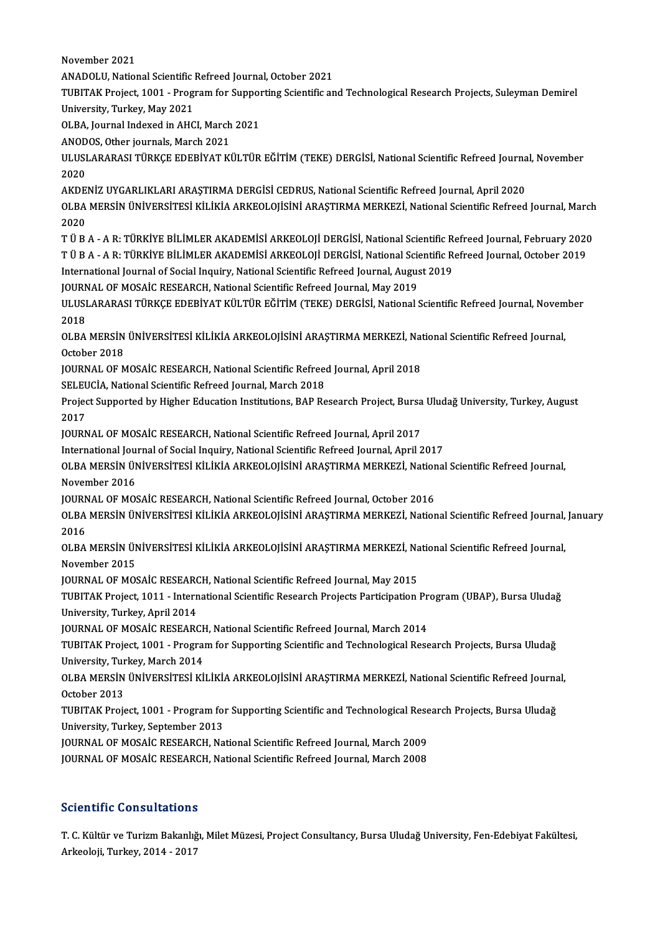November 2021

ANADOLU, National Scientific Refreed Journal, October 2021

TUBITAK Project, 1001 - Program for Supporting Scientific and Technological Research Projects, Suleyman Demirel University, Turkey, May 2021 TUBITAK Project, 1001 - Program for Suppor<br>University, Turkey, May 2021<br>OLBA, Journal Indexed in AHCI, March 2021<br>ANODOS, Othor journals, March 2021 University, Turkey, May 2021<br>OLBA, Journal Indexed in AHCI, March<br>ANODOS, Other journals, March 2021<br>ULUSLARARASI TÜRKCE EDERİVAT KI

OLBA, Journal Indexed in AHCI, March 2021<br>ANODOS, Other journals, March 2021<br>ULUSLARARASI TÜRKÇE EDEBİYAT KÜLTÜR EĞİTİM (TEKE) DERGİSİ, National Scientific Refreed Journal, November<br>2020 ANOD<br>ULUSI<br>2020<br>AKDE ULUSLARARASI TÜRKÇE EDEBİYAT KÜLTÜR EĞİTİM (TEKE) DERGİSİ, National Scientific Refreed Journa<br>2020<br>AKDENİZ UYGARLIKLARI ARAŞTIRMA DERGİSİ CEDRUS, National Scientific Refreed Journal, April 2020<br>OLBA MERSİN ÜNİVERSİTESI KU

2020<br>AKDENİZ UYGARLIKLARI ARAŞTIRMA DERGİSİ CEDRUS, National Scientific Refreed Journal, April 2020<br>OLBA MERSİN ÜNİVERSİTESİ KİLİKİA ARKEOLOJİSİNİ ARAŞTIRMA MERKEZİ, National Scientific Refreed Journal, March<br>2020 AKDENİZ UYGARLIKLARI ARAŞTIRMA DERGİSİ CEDRUS, National Scientific Refreed Journal, April 2020<br>OLBA MERSİN ÜNİVERSİTESİ KİLİKİA ARKEOLOJİSİNİ ARAŞTIRMA MERKEZİ, National Scientific Refreed<br>2020 OLBA MERSİN ÜNİVERSİTESİ KİLİKİA ARKEOLOJİSİNİ ARAŞTIRMA MERKEZİ, National Scientific Refreed Journal, March<br>2020<br>T Ü B A - A R: TÜRKİYE BİLİMLER AKADEMİSİ ARKEOLOJİ DERGİSİ, National Scientific Refreed Journal, February 2

T Ü B A - A R: TÜRKİYE BİLİMLER AKADEMİSİ ARKEOLOJİ DERGİSİ, National Scientific Refreed Journal, February 2020<br>T Ü B A - A R: TÜRKİYE BİLİMLER AKADEMİSİ ARKEOLOJİ DERGİSİ, National Scientific Refreed Journal, October 2019 T Ü B A - A R: TÜRKİYE BİLİMLER AKADEMİSİ ARKEOLOJİ DERGİSİ, National Scientific R<br>T Ü B A - A R: TÜRKİYE BİLİMLER AKADEMİSİ ARKEOLOJİ DERGİSİ, National Scientific R<br>International Journal of Social Inquiry, National Scient T Ü B A - A R: TÜRKİYE BİLİMLER AKADEMİSİ ARKEOLOJİ DERGİSİ, National Scie<br>International Journal of Social Inquiry, National Scientific Refreed Journal, Augus<br>JOURNAL OF MOSAİC RESEARCH, National Scientific Refreed Journal

International Journal of Social Inquiry, National Scientific Refreed Journal, August 2019<br>JOURNAL OF MOSAİC RESEARCH, National Scientific Refreed Journal, May 2019<br>ULUSLARARASI TÜRKÇE EDEBİYAT KÜLTÜR EĞİTİM (TEKE) DERGİSİ, JOURN<br>ULUSI<br>2018<br>OLBA ULUSLARARASI TÜRKÇE EDEBİYAT KÜLTÜR EĞİTİM (TEKE) DERGİSİ, National Scientific Refreed Journal, Novem<br>2018<br>OLBA MERSİN ÜNİVERSİTESİ KİLİKİA ARKEOLOJİSİNİ ARAŞTIRMA MERKEZİ, National Scientific Refreed Journal,<br>Ostabar 2019

2018<br>OLBA MERSİN ÜNİVERSİTESİ KİLİKİA ARKEOLOJİSİNİ ARAŞTIRMA MERKEZİ, National Scientific Refreed Journal,<br>October 2018 OLBA MERSİN ÜNİVERSİTESİ KİLİKİA ARKEOLOJİSİNİ ARAŞTIRMA MERKEZİ, Nat<br>October 2018<br>JOURNAL OF MOSAİC RESEARCH, National Scientific Refreed Journal, April 2018<br>SELEUCİA National Scientific Refreed Journal Mareb 2019 October 2018<br>JOURNAL OF MOSAİC RESEARCH, National Scientific Refreed<br>SELEUCİA, National Scientific Refreed Journal, March 2018<br>Preject Supperted by Hisber Education Institutions, BAR Re

JOURNAL OF MOSAİC RESEARCH, National Scientific Refreed Journal, April 2018<br>SELEUCİA, National Scientific Refreed Journal, March 2018<br>Project Supported by Higher Education Institutions, BAP Research Project, Bursa Uludağ U SELEUCIA, National Scientific Refreed Journal, March 2018<br>Project Supported by Higher Education Institutions, BAP Research Project, Bursa<br>2017<br>JOURNAL OF MOSAIC RESEARCH, National Scientific Refreed Journal, April 2017 Project Supported by Higher Education Institutions, BAP Research Project, Bursa<br>2017<br>JOURNAL OF MOSAİC RESEARCH, National Scientific Refreed Journal, April 2017<br>International Journal of Social Inquiry, National Scientific

International Journal of Social Inquiry, National Scientific Refreed Journal, April 2017

JOURNAL OF MOSAİC RESEARCH, National Scientific Refreed Journal, April 2017<br>International Journal of Social Inquiry, National Scientific Refreed Journal, April 2017<br>OLBA MERSİN ÜNİVERSİTESİ KİLİKİA ARKEOLOJİSİNİ ARAŞTIRMA International Jou<br>OLBA MERSIN ÜN<br>November 2016<br>JOUPMAL OF MOS OLBA MERSİN ÜNİVERSİTESİ KİLİKİA ARKEOLOJİSİNİ ARAŞTIRMA MERKEZİ, Natior<br>November 2016<br>JOURNAL OF MOSAİC RESEARCH, National Scientific Refreed Journal, October 2016<br>OLBA MERSİN ÜNİVERSİTESİ KU İKİA ARKEOLOJİSİNİ ARASTIRMA

November 2016<br>JOURNAL OF MOSAİC RESEARCH, National Scientific Refreed Journal, October 2016<br>OLBA MERSİN ÜNİVERSİTESİ KİLİKİA ARKEOLOJİSİNİ ARAŞTIRMA MERKEZİ, National Scientific Refreed Journal, January JOURN<br>OLBA<br>2016<br>OLBA OLBA MERSİN ÜNİVERSİTESİ KİLİKİA ARKEOLOJİSİNİ ARAŞTIRMA MERKEZİ, National Scientific Refreed Journal,<br>2016<br>OLBA MERSİN ÜNİVERSİTESİ KİLİKİA ARKEOLOJİSİNİ ARAŞTIRMA MERKEZİ, National Scientific Refreed Journal,<br>Navambar 20

2016<br>OLBA MERSİN ÜNİVERSİTESİ KİLİKİA ARKEOLOJİSİNİ ARAŞTIRMA MERKEZİ, National Scientific Refreed Journal,<br>November 2015 OLBA MERSİN ÜNİVERSİTESİ KİLİKİA ARKEOLOJİSİNİ ARAŞTIRMA MERKEZİ, Na<br>November 2015<br>JOURNAL OF MOSAİC RESEARCH, National Scientific Refreed Journal, May 2015<br>TURITAK Preject. 1011. International Scientific Bessareb Prejecta

November 2015<br>JOURNAL OF MOSAİC RESEARCH, National Scientific Refreed Journal, May 2015<br>TUBITAK Project, 1011 - International Scientific Research Projects Participation Program (UBAP), Bursa Uludağ<br>University Turkey, April **JOURNAL OF MOSAİC RESEAR<br>TUBITAK Project, 1011 - Intern<br>University, Turkey, April 2014<br>JOURNAL OF MOSAİC RESEAR** TUBITAK Project, 1011 - International Scientific Research Projects Participation Pr<br>University, Turkey, April 2014<br>JOURNAL OF MOSAİC RESEARCH, National Scientific Refreed Journal, March 2014<br>TUBITAK Preject, 1001 - Pregnam

University, Turkey, April 2014<br>JOURNAL OF MOSAİC RESEARCH, National Scientific Refreed Journal, March 2014<br>TUBITAK Project, 1001 - Program for Supporting Scientific and Technological Research Projects, Bursa Uludağ University, Turkey, March 2014 TUBITAK Project, 1001 - Program for Supporting Scientific and Technological Research Projects, Bursa Uludağ<br>University, Turkey, March 2014<br>OLBA MERSİN ÜNİVERSİTESİ KİLİKİA ARKEOLOJİSİNİ ARAŞTIRMA MERKEZİ, National Scientif

University, Tur<br>OLBA MERSIN<br>October 2013<br>TURITAK Proi OLBA MERSİN ÜNİVERSİTESİ KİLİKİA ARKEOLOJİSİNİ ARAŞTIRMA MERKEZİ, National Scientific Refreed Journa<br>October 2013<br>TUBITAK Project, 1001 - Program for Supporting Scientific and Technological Research Projects, Bursa Uludağ<br>

October 2013<br>TUBITAK Project, 1001 - Program fol<br>University, Turkey, September 2013<br>JOUPNAL OF MOSAIC BESEARCH, No TUBITAK Project, 1001 - Program for Supporting Scientific and Technological Rese<br>University, Turkey, September 2013<br>JOURNAL OF MOSAIC RESEARCH, National Scientific Refreed Journal, March 2009<br>JOURNAL OF MOSAIC RESEARCH, Na

University, Turkey, September 2013<br>JOURNAL OF MOSAİC RESEARCH, National Scientific Refreed Journal, March 2009<br>JOURNAL OF MOSAİC RESEARCH, National Scientific Refreed Journal, March 2008

## Scientific Consultations

Scientific Consultations<br>T. C. Kültür ve Turizm Bakanlığı, Milet Müzesi, Project Consultancy, Bursa Uludağ University, Fen-Edebiyat Fakültesi,<br>Arkaalaji, Turkay, 2014, 2017 Berentinic Sonsurtutions<br>T. C. Kültür ve Turizm Bakanlığ<br>Arkeoloji, Turkey, 2014 - 2017